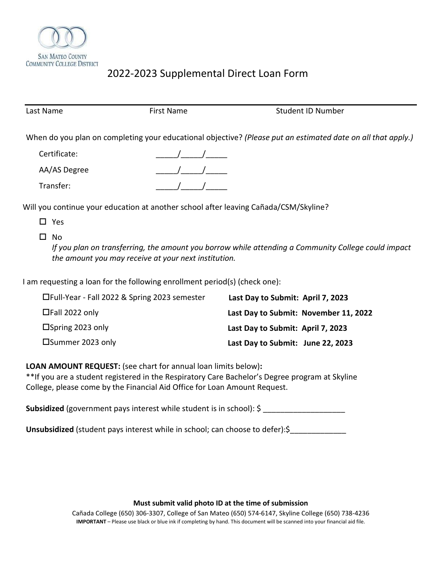

# 2022-2023 Supplemental Direct Loan Form

| Last Name    | <b>First Name</b> | <b>Student ID Number</b>                                                                                     |
|--------------|-------------------|--------------------------------------------------------------------------------------------------------------|
|              |                   | When do you plan on completing your educational objective? (Please put an estimated date on all that apply.) |
| Certificate: |                   |                                                                                                              |
| AA/AS Degree |                   |                                                                                                              |
| Transfer:    |                   |                                                                                                              |
|              |                   |                                                                                                              |

Will you continue your education at another school after leaving Cañada/CSM/Skyline?

- □ Yes
- $\square$  No

*If you plan on transferring, the amount you borrow while attending a Community College could impact the amount you may receive at your next institution.*

I am requesting a loan for the following enrollment period(s) (check one):

| □Full-Year - Fall 2022 & Spring 2023 semester | Last Day to Submit: April 7, 2023     |
|-----------------------------------------------|---------------------------------------|
| $\Box$ Fall 2022 only                         | Last Day to Submit: November 11, 2022 |
| $\Box$ Spring 2023 only                       | Last Day to Submit: April 7, 2023     |
| □Summer 2023 only                             | Last Day to Submit: June 22, 2023     |

# **LOAN AMOUNT REQUEST:** (see chart for annual loan limits below)**:**

\*\*If you are a student registered in the Respiratory Care Bachelor's Degree program at Skyline College, please come by the Financial Aid Office for Loan Amount Request.

Subsidized (government pays interest while student is in school): \$ \_\_\_\_\_\_\_\_\_\_\_\_\_\_\_\_\_\_\_\_

Unsubsidized (student pays interest while in school; can choose to defer):\$\_\_\_\_\_\_\_\_\_\_\_

# **Must submit valid photo ID at the time of submission**

 **IMPORTANT** – Please use black or blue ink if completing by hand. This document will be scanned into your financial aid file. Cañada College (650) 306-3307, College of San Mateo (650) 574-6147, Skyline College (650) 738-4236